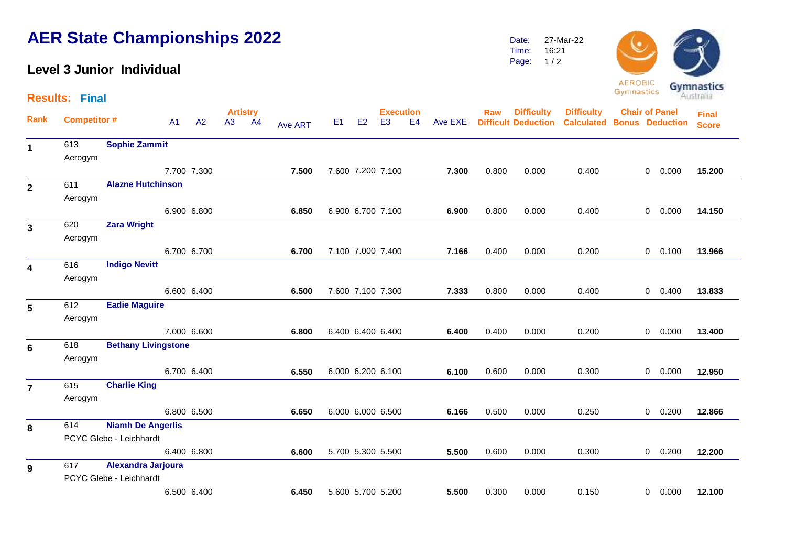## **AER State Championships 2022**

## **Level 3 Junior Individual**

Time: Page: 16:21  $1/2$ 



**Artistry Execution Rank Raw Difficult Deduction Chair of Panel Calculated Bonus Deduction Results: Final** A1 A2 A3 A4 <sub>Ave ART</sub> E1 E2 E3 E4 Ave EXE **Final Score Difficulty Difficulty Competitor #** A1 A2 A3 A4 Ave ART E1 E2 E3 E4 Ave EXE Difficult Deduction Calculated <sup>613</sup> **Sophie Zammit 1** Aerogym 7.700 7.300 **7.500** 7.600 7.200 7.100 **7.300** 0.800 0.000 0.400 0 0.000 **15.200** 611 **Alazne Hutchinson 2** Aerogym 6.900 6.800 **6.850** 6.900 6.700 7.100 **6.900** 0.800 0.000 0.400 0 0.000 **14.150** <sup>620</sup> **Zara Wright 3** Aerogym 6.700 6.700 **6.700** 7.100 7.000 7.400 **7.166** 0.400 0.000 0.200 0 0.100 **13.966** 616 **Indigo Nevitt 4** Aerogym 6.600 6.400 **6.500** 7.600 7.100 7.300 **7.333** 0.800 0.000 0.400 0 0.400 **13.833** <sup>612</sup> **Eadie Maguire 5** Aerogym 7.000 6.600 **6.800** 6.400 6.400 6.400 **6.400** 0.400 0.000 0.200 0 0.000 **13.400** 618 **Bethany Livingstone 6** Aerogym 6.700 6.400 **6.550** 6.000 6.200 6.100 **6.100** 0.600 0.000 0.300 0 0.000 **12.950** <sup>615</sup> **Charlie King 7** Aerogym 6.800 6.500 **6.650** 6.000 6.000 6.500 **6.166** 0.500 0.000 0.250 0 0.200 **12.866** 614 **Niamh De Angerlis 8** PCYC Glebe - Leichhardt 6.400 6.800 **6.600** 5.700 5.300 5.500 **5.500** 0.600 0.000 0.300 0 0.200 **12.200** <sup>617</sup> **Alexandra Jarjoura 9** PCYC Glebe - Leichhardt 6.500 6.400 **6.450** 5.600 5.700 5.200 **5.500** 0.300 0.000 0.150 0 0.000 **12.100**

Date: 27-Mar-22